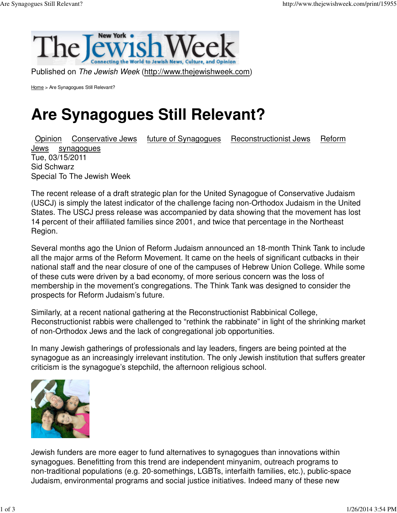

Home > Are Synagogues Still Relevant?

## **Are Synagogues Still Relevant?**

Opinion Conservative Jews future of Synagogues Reconstructionist Jews Reform Jews synagogues Tue, 03/15/2011 Sid Schwarz Special To The Jewish Week

The recent release of a draft strategic plan for the United Synagogue of Conservative Judaism (USCJ) is simply the latest indicator of the challenge facing non-Orthodox Judaism in the United States. The USCJ press release was accompanied by data showing that the movement has lost 14 percent of their affiliated families since 2001, and twice that percentage in the Northeast Region.

Several months ago the Union of Reform Judaism announced an 18-month Think Tank to include all the major arms of the Reform Movement. It came on the heels of significant cutbacks in their national staff and the near closure of one of the campuses of Hebrew Union College. While some of these cuts were driven by a bad economy, of more serious concern was the loss of membership in the movement's congregations. The Think Tank was designed to consider the prospects for Reform Judaism's future.

Similarly, at a recent national gathering at the Reconstructionist Rabbinical College, Reconstructionist rabbis were challenged to "rethink the rabbinate" in light of the shrinking market of non-Orthodox Jews and the lack of congregational job opportunities.

In many Jewish gatherings of professionals and lay leaders, fingers are being pointed at the synagogue as an increasingly irrelevant institution. The only Jewish institution that suffers greater criticism is the synagogue's stepchild, the afternoon religious school.



Jewish funders are more eager to fund alternatives to synagogues than innovations within synagogues. Benefitting from this trend are independent minyanim, outreach programs to non-traditional populations (e.g. 20-somethings, LGBTs, interfaith families, etc.), public-space Judaism, environmental programs and social justice initiatives. Indeed many of these new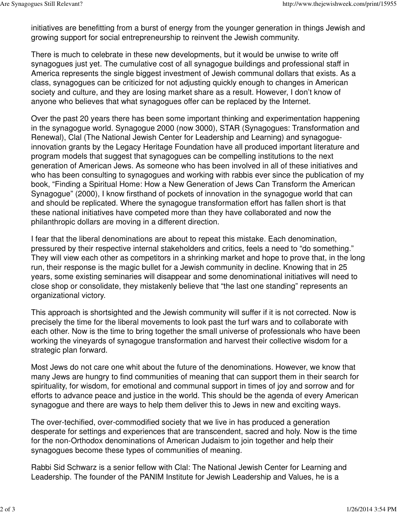initiatives are benefitting from a burst of energy from the younger generation in things Jewish and growing support for social entrepreneurship to reinvent the Jewish community.

There is much to celebrate in these new developments, but it would be unwise to write off synagogues just yet. The cumulative cost of all synagogue buildings and professional staff in America represents the single biggest investment of Jewish communal dollars that exists. As a class, synagogues can be criticized for not adjusting quickly enough to changes in American society and culture, and they are losing market share as a result. However, I don't know of anyone who believes that what synagogues offer can be replaced by the Internet.

Over the past 20 years there has been some important thinking and experimentation happening in the synagogue world. Synagogue 2000 (now 3000), STAR (Synagogues: Transformation and Renewal), Clal (The National Jewish Center for Leadership and Learning) and synagogueinnovation grants by the Legacy Heritage Foundation have all produced important literature and program models that suggest that synagogues can be compelling institutions to the next generation of American Jews. As someone who has been involved in all of these initiatives and who has been consulting to synagogues and working with rabbis ever since the publication of my book, "Finding a Spiritual Home: How a New Generation of Jews Can Transform the American Synagogue" (2000), I know firsthand of pockets of innovation in the synagogue world that can and should be replicated. Where the synagogue transformation effort has fallen short is that these national initiatives have competed more than they have collaborated and now the philanthropic dollars are moving in a different direction.

I fear that the liberal denominations are about to repeat this mistake. Each denomination, pressured by their respective internal stakeholders and critics, feels a need to "do something." They will view each other as competitors in a shrinking market and hope to prove that, in the long run, their response is the magic bullet for a Jewish community in decline. Knowing that in 25 years, some existing seminaries will disappear and some denominational initiatives will need to close shop or consolidate, they mistakenly believe that "the last one standing" represents an organizational victory.

This approach is shortsighted and the Jewish community will suffer if it is not corrected. Now is precisely the time for the liberal movements to look past the turf wars and to collaborate with each other. Now is the time to bring together the small universe of professionals who have been working the vineyards of synagogue transformation and harvest their collective wisdom for a strategic plan forward.

Most Jews do not care one whit about the future of the denominations. However, we know that many Jews are hungry to find communities of meaning that can support them in their search for spirituality, for wisdom, for emotional and communal support in times of joy and sorrow and for efforts to advance peace and justice in the world. This should be the agenda of every American synagogue and there are ways to help them deliver this to Jews in new and exciting ways.

The over-techified, over-commodified society that we live in has produced a generation desperate for settings and experiences that are transcendent, sacred and holy. Now is the time for the non-Orthodox denominations of American Judaism to join together and help their synagogues become these types of communities of meaning.

Rabbi Sid Schwarz is a senior fellow with Clal: The National Jewish Center for Learning and Leadership. The founder of the PANIM Institute for Jewish Leadership and Values, he is a